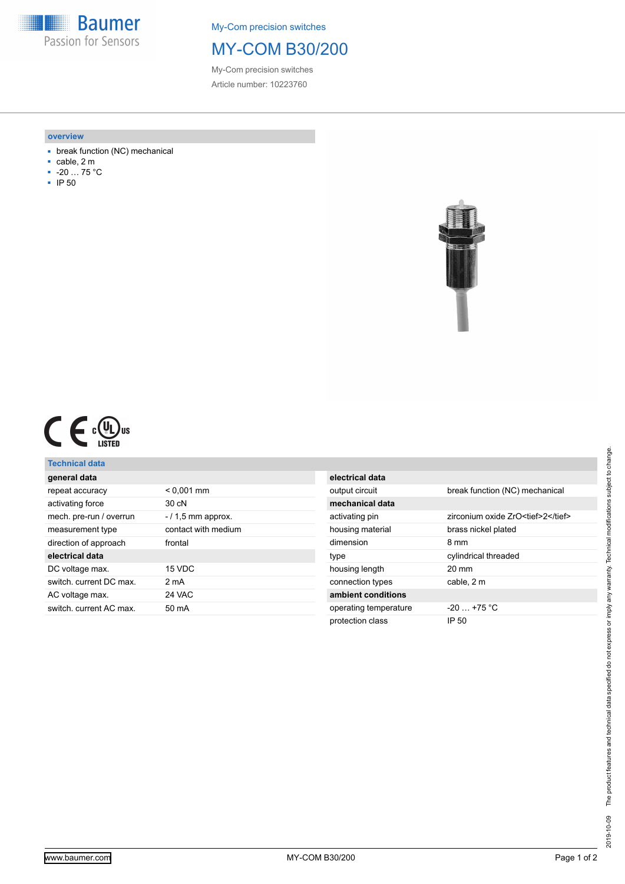**Baumer** Passion for Sensors

My-Com precision switches

## MY-COM B30/200

My-Com precision switches Article number: 10223760

#### **overview**

- break function (NC) mechanical
- cable, 2 m
- -20 … 75 °C
- IP 50



|  |  | c ( V<br>L Jus<br>LISTED |
|--|--|--------------------------|
|--|--|--------------------------|

### **Technical data**

| general data            |                     |
|-------------------------|---------------------|
| repeat accuracy         | $< 0,001$ mm        |
| activating force        | 30cN                |
| mech. pre-run / overrun | $-11.5$ mm approx.  |
| measurement type        | contact with medium |
| direction of approach   | frontal             |
| electrical data         |                     |
| DC voltage max.         | 15 VDC              |
| switch, current DC max. | 2 mA                |
| AC voltage max.         | 24 VAC              |
| switch, current AC max. | 50 mA               |
|                         |                     |

| electrical data       |                                    |
|-----------------------|------------------------------------|
| output circuit        | break function (NC) mechanical     |
| mechanical data       |                                    |
| activating pin        | zirconium oxide ZrO <tief>2</tief> |
| housing material      | brass nickel plated                |
| dimension             | 8 mm                               |
| type                  | cylindrical threaded               |
| housing length        | $20 \text{ mm}$                    |
| connection types      | cable, 2 m                         |
| ambient conditions    |                                    |
| operating temperature | $-20$ $+75$ °C                     |
| protection class      | IP 50                              |